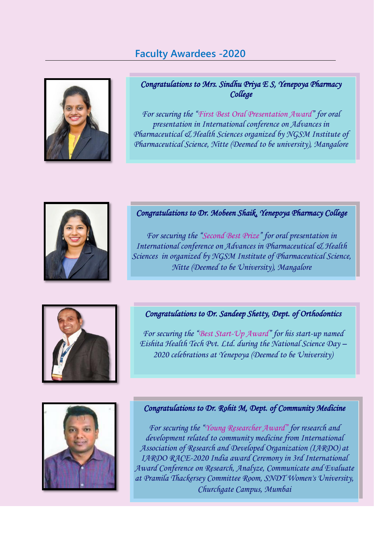# **Faculty Awardees -2020**



### *Congratulations to Mrs. Sindhu Priya E S, Yenepoya Pharmacy College*

*For securing the "First Best Oral Presentation Award" for oral presentation in International conference on Advances in Pharmaceutical & Health Sciences organized by NGSM Institute of Pharmaceutical Science, Nitte (Deemed to be university), Mangalore*



### *Congratulations to Dr. Mobeen Shaik, Yenepoya Pharmacy College*

*For securing the "Second Best Prize" for oral presentation in International conference on Advances in Pharmaceutical & Health Sciences in organized by NGSM Institute of Pharmaceutical Science, Nitte (Deemed to be University), Mangalore*



### *Congratulations to Dr. Sandeep Shetty, Dept. of Orthodontics*

*For securing the "Best Start-Up Award" for his start-up named Eishita Health Tech Pvt. Ltd. during the National Science Day – 2020 celebrations at Yenepoya (Deemed to be University)*



#### *Congratulations to Dr. Rohit M, Dept. of Community Medicine*

*For securing the "Young Researcher Award" for research and development related to community medicine from International Association of Research and Developed Organization (IARDO) at IARDO RACE-2020 India award Ceremony in 3rd International Award Conference on Research, Analyze, Communicate and Evaluate at Pramila Thackersey Committee Room, SNDT Women's University, Churchgate Campus, Mumbai*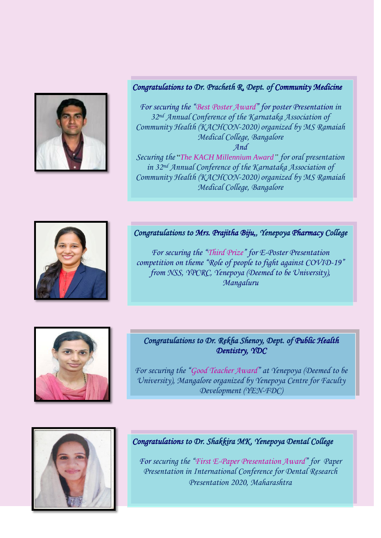

### *Congratulations to Dr. Pracheth R, Dept. of Community Medicine*

*For securing the "Best Poster Award" for poster Presentation in 32nd Annual Conference of the Karnataka Association of Community Health (KACHCON-2020) organized by MS Ramaiah Medical College, Bangalore And* 

*Securing the* "*The KACH Millennium Award" for oral presentation in 32nd Annual Conference of the Karnataka Association of Community Health (KACHCON-2020) organized by MS Ramaiah Medical College, Bangalore*



### *Congratulations to Mrs. Prajitha Biju,, Yenepoya Pharmacy College*

*For securing the "Third Prize" for E-Poster Presentation competition on theme "Role of people to fight against COVID-19" from NSS, YPCRC, Yenepoya (Deemed to be University), Mangaluru*



### *Congratulations to Dr. Rekha Shenoy, Dept. of Public Health Dentistry, YDC*

*For securing the "Good Teacher Award" at Yenepoya (Deemed to be University), Mangalore organized by Yenepoya Centre for Faculty Development (YEN-FDC)*



## *Congratulations to Dr. Shakkira MK, Yenepoya Dental College*

*For securing the "First E-Paper Presentation Award" for Paper Presentation in International Conference for Dental Research Presentation 2020, Maharashtra*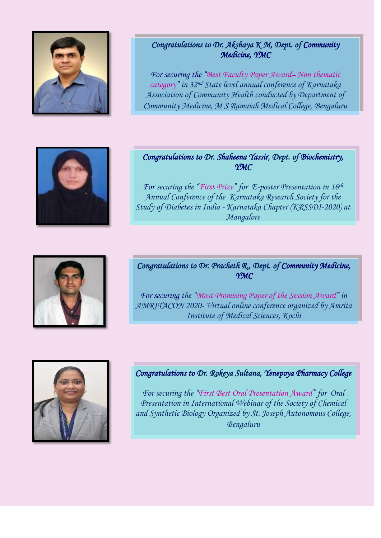

### *Congratulations to Dr. Akshaya K M, Dept. of Community Medicine, YMC*

*For securing the "Best Faculty Paper Award– Non thematic category" in 32nd State level annual conference of Karnataka Association of Community Health conducted by Department of Community Medicine, M S Ramaiah Medical College, Bengaluru*



### *Congratulations to Dr. Shaheena Yassir, Dept. of Biochemistry, YMC*

*For securing the "First Prize" for E-poster Presentation in 16th Annual Conference of the Karnataka Research Society for the Study of Diabetes in India - Karnataka Chapter (KRSSDI-2020) at Mangalore*



### *Congratulations to Dr. Pracheth R., Dept. of Community Medicine, YMC*

*For securing the "Most Promising Paper of the Session Award" in AMRITACON 2020- Virtual online conference organized by Amrita Institute of Medical Sciences, Kochi*



### *Congratulations to Dr. Rokeya Sultana, Yenepoya Pharmacy College*

*For securing the "First Best Oral Presentation Award" for Oral Presentation in International Webinar of the Society of Chemical and Synthetic Biology Organized by St. Joseph Autonomous College, Bengaluru*